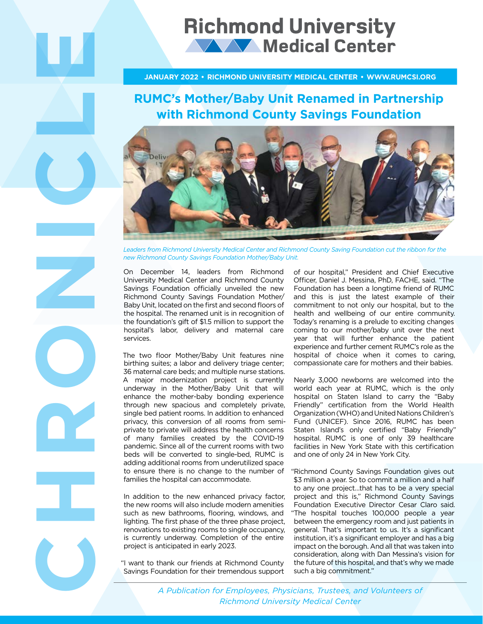# **Richmond University WAY Medical Center**

### **JANUARY 2022 • RICHMOND UNIVERSITY MEDICAL CENTER • WWW.RUMCSI.ORG**

## **RUMC's Mother/Baby Unit Renamed in Partnership with Richmond County Savings Foundation**



Leaders from Richmond University Medical Center and Richmond County Saving Foundation cut the ribbon for the *new Richmond County Savings Foundation Mother/Baby Unit.*

On December 14, leaders from Richmond University Medical Center and Richmond County Savings Foundation officially unveiled the new Richmond County Savings Foundation Mother/ Baby Unit, located on the first and second floors of the hospital. The renamed unit is in recognition of the foundation's gift of \$1.5 million to support the hospital's labor, delivery and maternal care services.

**CHRONICLE** 

The two floor Mother/Baby Unit features nine birthing suites; a labor and delivery triage center; 36 maternal care beds; and multiple nurse stations. A major modernization project is currently underway in the Mother/Baby Unit that will enhance the mother-baby bonding experience through new spacious and completely private, single bed patient rooms. In addition to enhanced privacy, this conversion of all rooms from semiprivate to private will address the health concerns of many families created by the COVID-19 pandemic. Since all of the current rooms with two beds will be converted to single-bed, RUMC is adding additional rooms from underutilized space to ensure there is no change to the number of families the hospital can accommodate.

In addition to the new enhanced privacy factor, the new rooms will also include modern amenities such as new bathrooms, flooring, windows, and lighting. The first phase of the three phase project, renovations to existing rooms to single occupancy, is currently underway. Completion of the entire project is anticipated in early 2023.

"I want to thank our friends at Richmond County Savings Foundation for their tremendous support

of our hospital," President and Chief Executive Officer, Daniel J. Messina, PhD, FACHE, said. "The Foundation has been a longtime friend of RUMC and this is just the latest example of their commitment to not only our hospital, but to the health and wellbeing of our entire community. Today's renaming is a prelude to exciting changes coming to our mother/baby unit over the next year that will further enhance the patient experience and further cement RUMC's role as the hospital of choice when it comes to caring, compassionate care for mothers and their babies.

Nearly 3,000 newborns are welcomed into the world each year at RUMC, which is the only hospital on Staten Island to carry the "Baby Friendly" certification from the World Health Organization (WHO) and United Nations Children's Fund (UNICEF). Since 2016, RUMC has been Staten Island's only certified "Baby Friendly" hospital. RUMC is one of only 39 healthcare facilities in New York State with this certification and one of only 24 in New York City.

"Richmond County Savings Foundation gives out \$3 million a year. So to commit a million and a half to any one project…that has to be a very special project and this is," Richmond County Savings Foundation Executive Director Cesar Claro said. "The hospital touches 100,000 people a year between the emergency room and just patients in general. That's important to us. It's a significant institution, it's a significant employer and has a big impact on the borough. And all that was taken into consideration, along with Dan Messina's vision for the future of this hospital, and that's why we made such a big commitment."

*A Publication for Employees, Physicians, Trustees, and Volunteers of Richmond University Medical Center*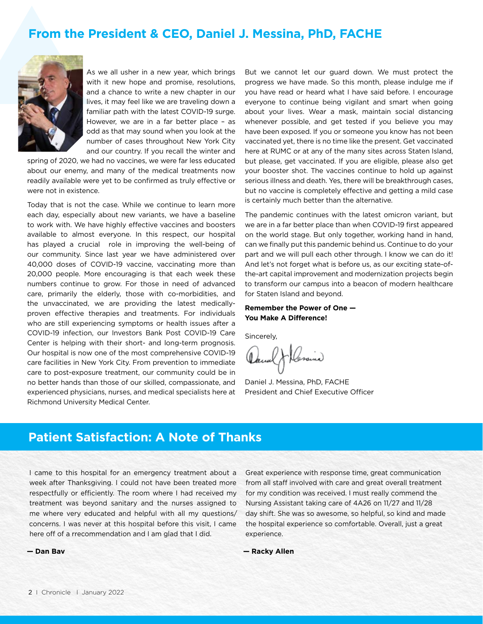### **From the President & CEO, Daniel J. Messina, PhD, FACHE**



As we all usher in a new year, which brings with it new hope and promise, resolutions, and a chance to write a new chapter in our lives, it may feel like we are traveling down a familiar path with the latest COVID-19 surge. However, we are in a far better place – as odd as that may sound when you look at the number of cases throughout New York City and our country. If you recall the winter and

spring of 2020, we had no vaccines, we were far less educated about our enemy, and many of the medical treatments now readily available were yet to be confirmed as truly effective or were not in existence.

Today that is not the case. While we continue to learn more each day, especially about new variants, we have a baseline to work with. We have highly effective vaccines and boosters available to almost everyone. In this respect, our hospital has played a crucial role in improving the well-being of our community. Since last year we have administered over 40,000 doses of COVID-19 vaccine, vaccinating more than 20,000 people. More encouraging is that each week these numbers continue to grow. For those in need of advanced care, primarily the elderly, those with co-morbidities, and the unvaccinated, we are providing the latest medicallyproven effective therapies and treatments. For individuals who are still experiencing symptoms or health issues after a COVID-19 infection, our Investors Bank Post COVID-19 Care Center is helping with their short- and long-term prognosis. Our hospital is now one of the most comprehensive COVID-19 care facilities in New York City. From prevention to immediate care to post-exposure treatment, our community could be in no better hands than those of our skilled, compassionate, and experienced physicians, nurses, and medical specialists here at Richmond University Medical Center.

But we cannot let our guard down. We must protect the progress we have made. So this month, please indulge me if you have read or heard what I have said before. I encourage everyone to continue being vigilant and smart when going about your lives. Wear a mask, maintain social distancing whenever possible, and get tested if you believe you may have been exposed. If you or someone you know has not been vaccinated yet, there is no time like the present. Get vaccinated here at RUMC or at any of the many sites across Staten Island, but please, get vaccinated. If you are eligible, please also get your booster shot. The vaccines continue to hold up against serious illness and death. Yes, there will be breakthrough cases, but no vaccine is completely effective and getting a mild case is certainly much better than the alternative.

The pandemic continues with the latest omicron variant, but we are in a far better place than when COVID-19 first appeared on the world stage. But only together, working hand in hand, can we finally put this pandemic behind us. Continue to do your part and we will pull each other through. I know we can do it! And let's not forget what is before us, as our exciting state-ofthe-art capital improvement and modernization projects begin to transform our campus into a beacon of modern healthcare for Staten Island and beyond.

**Remember the Power of One — You Make A Difference!**

Sincerely,

Heraind

Daniel J. Messina, PhD, FACHE President and Chief Executive Officer

### **Patient Satisfaction: A Note of Thanks**

I came to this hospital for an emergency treatment about a week after Thanksgiving. I could not have been treated more respectfully or efficiently. The room where I had received my treatment was beyond sanitary and the nurses assigned to me where very educated and helpful with all my questions/ concerns. I was never at this hospital before this visit, I came here off of a rrecommendation and I am glad that I did.

Great experience with response time, great communication from all staff involved with care and great overall treatment for my condition was received. I must really commend the Nursing Assistant taking care of 4A26 on 11/27 and 11/28 day shift. She was so awesome, so helpful, so kind and made the hospital experience so comfortable. Overall, just a great experience.

**— Dan Bav** 

**— Racky Allen**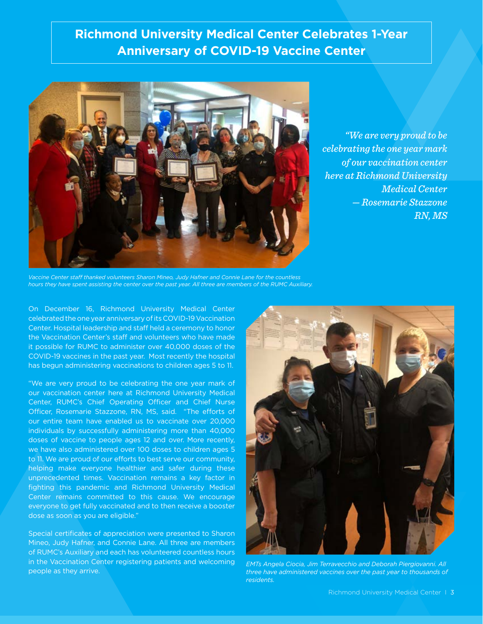### **Richmond University Medical Center Celebrates 1-Year Anniversary of COVID-19 Vaccine Center**



*"We are very proud to be celebrating the one year mark of our vaccination center here at Richmond University Medical Center — Rosemarie Stazzone RN, MS*

*Vaccine Center staff thanked volunteers Sharon Mineo, Judy Hafner and Connie Lane for the countless hours they have spent assisting the center over the past year. All three are members of the RUMC Auxiliary.*

On December 16, Richmond University Medical Center celebrated the one year anniversary of its COVID-19 Vaccination Center. Hospital leadership and staff held a ceremony to honor the Vaccination Center's staff and volunteers who have made it possible for RUMC to administer over 40,000 doses of the COVID-19 vaccines in the past year. Most recently the hospital has begun administering vaccinations to children ages 5 to 11.

"We are very proud to be celebrating the one year mark of our vaccination center here at Richmond University Medical Center, RUMC's Chief Operating Officer and Chief Nurse Officer, Rosemarie Stazzone, RN, MS, said. "The efforts of our entire team have enabled us to vaccinate over 20,000 individuals by successfully administering more than 40,000 doses of vaccine to people ages 12 and over. More recently, we have also administered over 100 doses to children ages 5 to 11. We are proud of our efforts to best serve our community, helping make everyone healthier and safer during these unprecedented times. Vaccination remains a key factor in fighting this pandemic and Richmond University Medical Center remains committed to this cause. We encourage everyone to get fully vaccinated and to then receive a booster dose as soon as you are eligible."

Special certificates of appreciation were presented to Sharon Mineo, Judy Hafner, and Connie Lane. All three are members of RUMC's Auxiliary and each has volunteered countless hours in the Vaccination Center registering patients and welcoming people as they arrive.



*EMTs Angela Ciocia, Jim Terravecchio and Deborah Piergiovanni. All three have administered vaccines over the past year to thousands of residents.*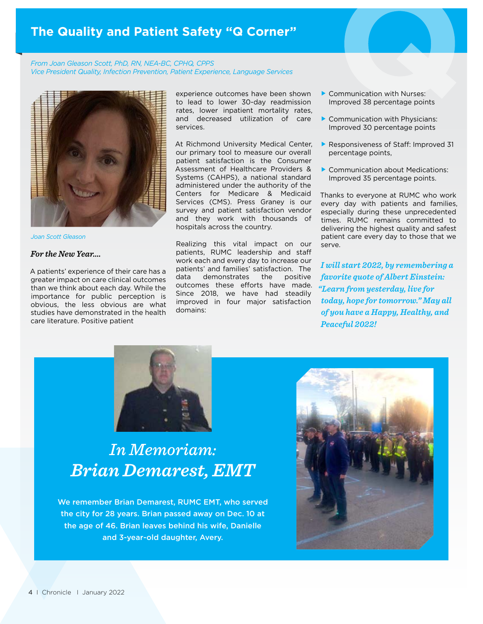### **The Quality and Patient Safety "Q Corner"**

*From Joan Gleason Scott, PhD, RN, NEA-BC, CPHQ, CPPS Vice President Quality, Infection Prevention, Patient Experience, Language Services*



*Joan Scott Gleason*

#### *For the New Year….*

A patients' experience of their care has a greater impact on care clinical outcomes than we think about each day. While the importance for public perception is obvious, the less obvious are what studies have demonstrated in the health care literature. Positive patient

experience outcomes have been shown to lead to lower 30-day readmission rates, lower inpatient mortality rates, and decreased utilization of care services.

At Richmond University Medical Center, our primary tool to measure our overall patient satisfaction is the Consumer Assessment of Healthcare Providers & Systems (CAHPS), a national standard administered under the authority of the Centers for Medicare & Medicaid Services (CMS). Press Graney is our survey and patient satisfaction vendor and they work with thousands of hospitals across the country.

Realizing this vital impact on our patients, RUMC leadership and staff work each and every day to increase our patients' and families' satisfaction. The data demonstrates the positive outcomes these efforts have made. Since 2018, we have had steadily improved in four major satisfaction domains:

- Communication with Nurses: Improved 38 percentage points
- Communication with Physicians: Improved 30 percentage points
- Responsiveness of Staff: Improved 31 percentage points,
- Communication about Medications: Improved 35 percentage points.

Thanks to everyone at RUMC who work every day with patients and families, especially during these unprecedented times. RUMC remains committed to delivering the highest quality and safest patient care every day to those that we serve.

*I will start 2022, by remembering a favorite quote of Albert Einstein: "Learn from yesterday, live for today, hope for tomorrow." May all of you have a Happy, Healthy, and Peaceful 2022!*



# *In Memoriam: Brian Demarest, EMT*

We remember Brian Demarest, RUMC EMT, who served the city for 28 years. Brian passed away on Dec. 10 at the age of 46. Brian leaves behind his wife, Danielle and 3-year-old daughter, Avery.

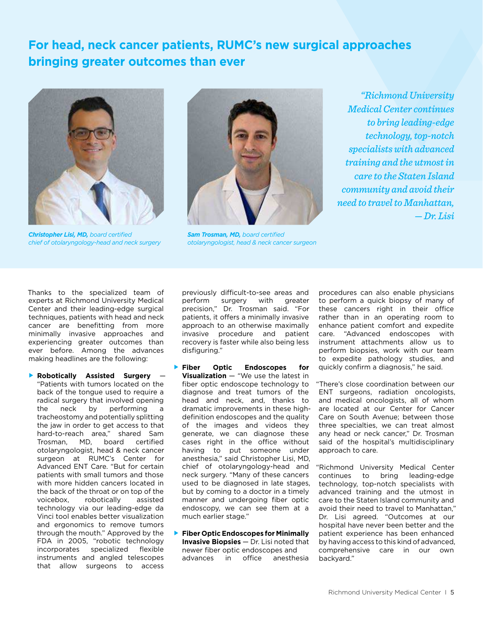# **For head, neck cancer patients, RUMC's new surgical approaches bringing greater outcomes than ever**



*Christopher Lisi, MD, board certified chief of otolaryngology-head and neck surgery*



*Sam Trosman, MD, board certified otolaryngologist, head & neck cancer surgeon*

*"Richmond University Medical Center continues to bring leading-edge technology, top-notch specialists with advanced training and the utmost in care to the Staten Island community and avoid their need to travel to Manhattan, — Dr. Lisi* 

Thanks to the specialized team of experts at Richmond University Medical Center and their leading-edge surgical techniques, patients with head and neck cancer are benefitting from more minimally invasive approaches and experiencing greater outcomes than ever before. Among the advances making headlines are the following:

 **Robotically Assisted Surgery** — "Patients with tumors located on the back of the tongue used to require a radical surgery that involved opening the neck by performing a tracheostomy and potentially splitting the jaw in order to get access to that hard-to-reach area," shared Sam Trosman, MD, board certified otolaryngologist, head & neck cancer surgeon at RUMC's Center for Advanced ENT Care. "But for certain patients with small tumors and those with more hidden cancers located in the back of the throat or on top of the voicebox, robotically assisted technology via our leading-edge da Vinci tool enables better visualization and ergonomics to remove tumors through the mouth." Approved by the FDA in 2005, "robotic technology incorporates specialized flexible instruments and angled telescopes that allow surgeons to access

 previously difficult-to-see areas and perform surgery with greater precision," Dr. Trosman said. "For patients, it offers a minimally invasive approach to an otherwise maximally invasive procedure and patient recovery is faster while also being less disfiguring."

- **Fiber Optic Endoscopes for Visualization** — "We use the latest in fiber optic endoscope technology to diagnose and treat tumors of the head and neck, and, thanks to dramatic improvements in these high definition endoscopes and the quality of the images and videos they generate, we can diagnose these cases right in the office without having to put someone under anesthesia," said Christopher Lisi, MD, chief of otolaryngology-head and neck surgery. "Many of these cancers used to be diagnosed in late stages, but by coming to a doctor in a timely manner and undergoing fiber optic endoscopy, we can see them at a much earlier stage."
- **Fiber Optic Endoscopes for Minimally Invasive Biopsies** — Dr. Lisi noted that newer fiber optic endoscopes and advances in office anesthesia

procedures can also enable physicians to perform a quick biopsy of many of these cancers right in their office rather than in an operating room to enhance patient comfort and expedite<br>care. "Advanced endoscopes with "Advanced endoscopes with instrument attachments allow us to perform biopsies, work with our team to expedite pathology studies, and quickly confirm a diagnosis," he said.

"There's close coordination between our ENT surgeons, radiation oncologists, and medical oncologists, all of whom are located at our Center for Cancer Care on South Avenue; between those three specialties, we can treat almost any head or neck cancer," Dr. Trosman said of the hospital's multidisciplinary approach to care.

"Richmond University Medical Center continues to bring leading-edge technology, top-notch specialists with advanced training and the utmost in care to the Staten Island community and avoid their need to travel to Manhattan," Dr. Lisi agreed. "Outcomes at our hospital have never been better and the patient experience has been enhanced by having access to this kind of advanced, comprehensive care in our own backyard."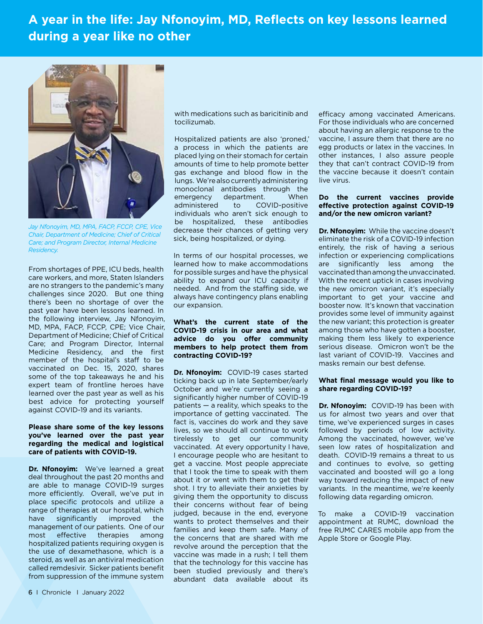## **A year in the life: Jay Nfonoyim, MD, Reflects on key lessons learned during a year like no other**



*Jay Nfonoyim, MD, MPA, FACP, FCCP, CPE, Vice Chair, Department of Medicine; Chief of Critical Care; and Program Director, Internal Medicine Residency.*

From shortages of PPE, ICU beds, health care workers, and more, Staten Islanders are no strangers to the pandemic's many challenges since 2020. But one thing there's been no shortage of over the past year have been lessons learned. In the following interview, Jay Nfonoyim, MD, MPA, FACP, FCCP, CPE; Vice Chair, Department of Medicine; Chief of Critical Care; and Program Director, Internal Medicine Residency, and the first member of the hospital's staff to be vaccinated on Dec. 15, 2020, shares some of the top takeaways he and his expert team of frontline heroes have learned over the past year as well as his best advice for protecting yourself against COVID-19 and its variants.

#### **Please share some of the key lessons you've learned over the past year regarding the medical and logistical care of patients with COVID-19.**

**Dr. Nfonoyim:** We've learned a great deal throughout the past 20 months and are able to manage COVID-19 surges more efficiently. Overall, we've put in place specific protocols and utilize a range of therapies at our hospital, which have significantly improved the management of our patients. One of our most effective therapies among hospitalized patients requiring oxygen is the use of dexamethasone, which is a steroid, as well as an antiviral medication called remdesivir. Sicker patients benefit from suppression of the immune system

with medications such as baricitinib and tocilizumab.

Hospitalized patients are also 'proned,' a process in which the patients are placed lying on their stomach for certain amounts of time to help promote better gas exchange and blood flow in the lungs. We're also currently administering monoclonal antibodies through the emergency department. When administered to COVID-positive individuals who aren't sick enough to be hospitalized, these antibodies decrease their chances of getting very sick, being hospitalized, or dying.

In terms of our hospital processes, we learned how to make accommodations for possible surges and have the physical ability to expand our ICU capacity if needed. And from the staffing side, we always have contingency plans enabling our expansion.

#### **What's the current state of the COVID-19 crisis in our area and what advice do you offer community members to help protect them from contracting COVID-19?**

**Dr. Nfonoyim:** COVID-19 cases started ticking back up in late September/early October and we're currently seeing a significantly higher number of COVID-19 patients — a reality, which speaks to the importance of getting vaccinated. The fact is, vaccines do work and they save lives, so we should all continue to work tirelessly to get our community vaccinated. At every opportunity I have, I encourage people who are hesitant to get a vaccine. Most people appreciate that I took the time to speak with them about it or went with them to get their shot. I try to alleviate their anxieties by giving them the opportunity to discuss their concerns without fear of being judged, because in the end, everyone wants to protect themselves and their families and keep them safe. Many of the concerns that are shared with me revolve around the perception that the vaccine was made in a rush; I tell them that the technology for this vaccine has been studied previously and there's abundant data available about its

efficacy among vaccinated Americans. For those individuals who are concerned about having an allergic response to the vaccine, I assure them that there are no egg products or latex in the vaccines. In other instances, I also assure people they that can't contract COVID-19 from the vaccine because it doesn't contain live virus.

#### **Do the current vaccines provide effective protection against COVID-19 and/or the new omicron variant?**

**Dr. Nfonoyim:** While the vaccine doesn't eliminate the risk of a COVID-19 infection entirely, the risk of having a serious infection or experiencing complications are significantly less among the vaccinated than among the unvaccinated. With the recent uptick in cases involving the new omicron variant, it's especially important to get your vaccine and booster now. It's known that vaccination provides some level of immunity against the new variant; this protection is greater among those who have gotten a booster, making them less likely to experience serious disease. Omicron won't be the last variant of COVID-19. Vaccines and masks remain our best defense.

#### **What final message would you like to share regarding COVID-19?**

**Dr. Nfonovim:** COVID-19 has been with us for almost two years and over that time, we've experienced surges in cases followed by periods of low activity. Among the vaccinated, however, we've seen low rates of hospitalization and death. COVID-19 remains a threat to us and continues to evolve, so getting vaccinated and boosted will go a long way toward reducing the impact of new variants. In the meantime, we're keenly following data regarding omicron.

To make a COVID-19 vaccination appointment at RUMC, download the free RUMC CARES mobile app from the Apple Store or Google Play.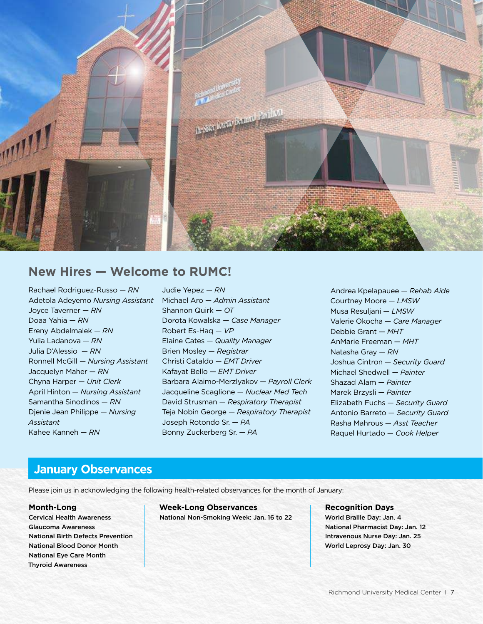

### **New Hires — Welcome to RUMC!**

Rachael Rodriguez-Russo — *RN* Adetola Adeyemo *Nursing Assistant* Joyce Taverner — *RN* Doaa Yahia — *RN* Ereny Abdelmalek — *RN* Yulia Ladanova — *RN* Julia D'Alessio — *RN* Ronnell McGill — *Nursing Assistant* Jacquelyn Maher — *RN* Chyna Harper — *Unit Clerk* April Hinton — *Nursing Assistant* Samantha Sinodinos — *RN* Djenie Jean Philippe — *Nursing Assistant* Kahee Kanneh — *RN*

Judie Yepez — *RN* Michael Aro — *Admin Assistant* Shannon Quirk — *OT* Dorota Kowalska — *Case Manager* Robert Es-Haq — *VP* Elaine Cates — *Quality Manager* Brien Mosley — *Registrar* Christi Cataldo — *EMT Driver* Kafayat Bello — *EMT Driver* Barbara Alaimo-Merzlyakov — *Payroll Clerk* Jacqueline Scaglione — *Nuclear Med Tech* David Strusman — *Respiratory Therapist* Teja Nobin George — *Respiratory Therapist* Joseph Rotondo Sr. — *PA* Bonny Zuckerberg Sr. — *PA*

Andrea Kpelapauee — *Rehab Aide* Courtney Moore — *LMSW* Musa Resuljani — *LMSW* Valerie Okocha — *Care Manager* Debbie Grant — *MHT* AnMarie Freeman — *MHT* Natasha Gray — *RN* Joshua Cintron — *Security Guard* Michael Shedwell — *Painter* Shazad Alam — *Painter* Marek Brzysli — *Painter* Elizabeth Fuchs — *Security Guard* Antonio Barreto — *Security Guard* Rasha Mahrous — *Asst Teacher* Raquel Hurtado — *Cook Helper*

### **January Observances**

Please join us in acknowledging the following health-related observances for the month of January:

### **Month-Long**

Cervical Health Awareness Glaucoma Awareness National Birth Defects Prevention National Blood Donor Month National Eye Care Month Thyroid Awareness

**Week-Long Observances** National Non-Smoking Week: Jan. 16 to 22 **Recognition Days** World Braille Day: Jan. 4 National Pharmacist Day: Jan. 12 Intravenous Nurse Day: Jan. 25 World Leprosy Day: Jan. 30